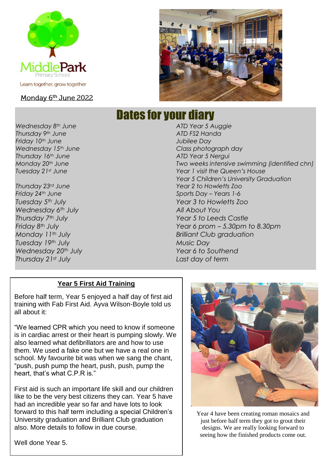

#### Monday 6<sup>th</sup> June 2022



# Dates for your diary

*Wednesday 8th June ATD Year 5 Auggie Thursday 9th June ATD FS2 Handa Friday 10th June Jubilee Day Wednesday 15th June Class photograph day Thursday 16th June ATD Year 5 Nergui Monday 20th June Two weeks intensive swimming (identified chn) Tuesday 21st June Year 1 visit the Queen's House Year 5 Children's University Graduation Thursday 23rd June Year 2 to Howletts Zoo Friday 24th June Sports Day – Years 1-6 Tuesday 5th July Year 3 to Howletts Zoo Wednesday 6th July All About You Thursday 7th July Year 5 to Leeds Castle Friday 8th July Year 6 prom – 5.30pm to 8.30pm Monday 11th July Brilliant Club graduation Tuesday 19th July Music Day Wednesday 20th July Year 6 to Southend Thursday 21st July Last day of term*

#### **Year 5 First Aid Training**

Before half term, Year 5 enjoyed a half day of first aid training with Fab First Aid. Ayva Wilson-Boyle told us all about it:

"We learned CPR which you need to know if someone is in cardiac arrest or their heart is pumping slowly. We also learned what defibrillators are and how to use them. We used a fake one but we have a real one in school. My favourite bit was when we sang the chant, "push, push pump the heart, push, push, pump the heart, that's what C.P.R is."

First aid is such an important life skill and our children like to be the very best citizens they can. Year 5 have had an incredible year so far and have lots to look forward to this half term including a special Children's University graduation and Brilliant Club graduation also. More details to follow in due course.



Year 4 have been creating roman mosaics and just before half term they got to grout their designs. We are really looking forward to seeing how the finished products come out.

Well done Year 5.